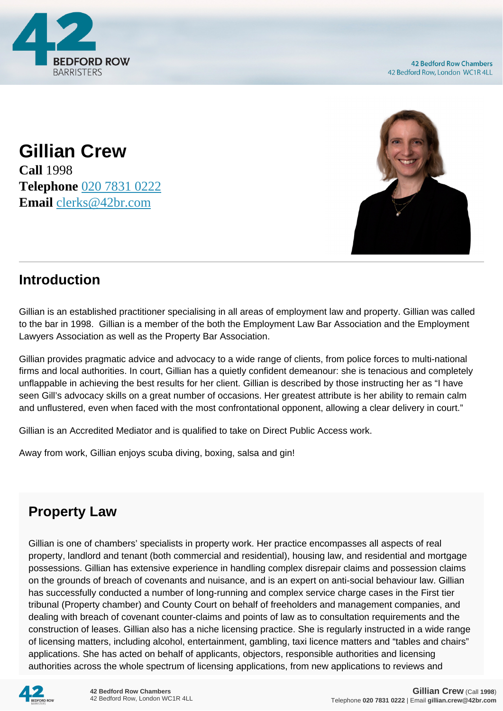

**Gillian Crew Call** 1998 **Telephone** [020 7831 0222](https://pdf.codeshore.co/_42br/tel:020 7831 0222) **Email** [clerks@42br.com](mailto:clerks@42br.com)



## **Introduction**

Gillian is an established practitioner specialising in all areas of employment law and property. Gillian was called to the bar in 1998. Gillian is a member of the both the Employment Law Bar Association and the Employment Lawyers Association as well as the Property Bar Association.

Gillian provides pragmatic advice and advocacy to a wide range of clients, from police forces to multi-national firms and local authorities. In court, Gillian has a quietly confident demeanour: she is tenacious and completely unflappable in achieving the best results for her client. Gillian is described by those instructing her as "I have seen Gill's advocacy skills on a great number of occasions. Her greatest attribute is her ability to remain calm and unflustered, even when faced with the most confrontational opponent, allowing a clear delivery in court."

Gillian is an Accredited Mediator and is qualified to take on Direct Public Access work.

Away from work, Gillian enjoys scuba diving, boxing, salsa and gin!

## **Property Law**

Gillian is one of chambers' specialists in property work. Her practice encompasses all aspects of real property, landlord and tenant (both commercial and residential), housing law, and residential and mortgage possessions. Gillian has extensive experience in handling complex disrepair claims and possession claims on the grounds of breach of covenants and nuisance, and is an expert on anti-social behaviour law. Gillian has successfully conducted a number of long-running and complex service charge cases in the First tier tribunal (Property chamber) and County Court on behalf of freeholders and management companies, and dealing with breach of covenant counter-claims and points of law as to consultation requirements and the construction of leases. Gillian also has a niche licensing practice. She is regularly instructed in a wide range of licensing matters, including alcohol, entertainment, gambling, taxi licence matters and "tables and chairs" applications. She has acted on behalf of applicants, objectors, responsible authorities and licensing authorities across the whole spectrum of licensing applications, from new applications to reviews and